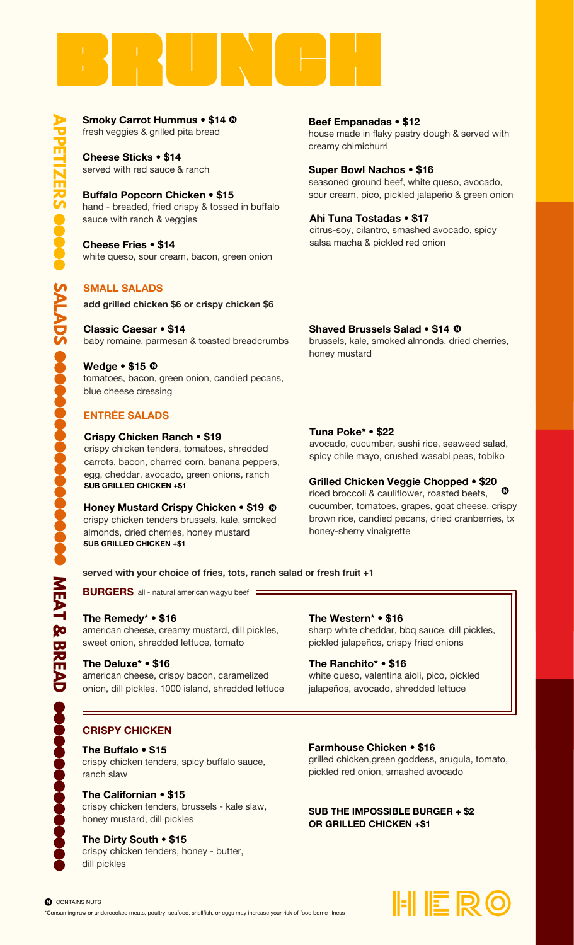

fresh veggies & grilled pita bread **Smoky Carrot Hummus • \$14**  $\odot$  fresh veggies & grilled pita bread

> served with red sauce & ranch **Cheese Sticks • \$14**

hand - breaded, fried crispy & tossed in buffalo sauce with ranch & veggies **Buffalo Popcorn Chicken • \$15**

white queso, sour cream, bacon, green onion **Cheese Fries • \$14**

# **SMALL SALADS**

**add grilled chicken \$6 or crispy chicken \$6**

baby romaine, parmesan & toasted breadcrumbs **Classic Caesar • \$14**

tomatoes, bacon, green onion, candied pecans, blue cheese dressing **Wedge • \$15** • N

# **ENTRÉE SALADS**

#### **Crispy Chicken Ranch • \$19**

crispy chicken tenders, tomatoes, shredded carrots, bacon, charred corn, banana peppers, egg, cheddar, avocado, green onions, ranch **SUB GRILLED CHICKEN +\$1**

 $\mathbf{Q}$ N **Honey Mustard Crispy Chicken • \$19** crispy chicken tenders brussels, kale, smoked almonds, dried cherries, honey mustard **SUB GRILLED CHICKEN +\$1**

house made in flaky pastry dough & served with creamy chimichurri **Beef Empanadas • \$12**

seasoned ground beef, white queso, avocado, sour cream, pico, pickled jalapeño & green onion **Super Bowl Nachos • \$16**

citrus-soy, cilantro, smashed avocado, spicy salsa macha & pickled red onion **Ahi Tuna Tostadas • \$17**

## **Shaved Brussels Salad • \$14** • N

brussels, kale, smoked almonds, dried cherries, honey mustard

#### **Tuna Poke\* • \$22**

avocado, cucumber, sushi rice, seaweed salad, spicy chile mayo, crushed wasabi peas, tobiko

### **Grilled Chicken Veggie Chopped • \$20**

riced broccoli & cauliflower, roasted beets, cucumber, tomatoes, grapes, goat cheese, crispy brown rice, candied pecans, dried cranberries, tx honey-sherry vinaigrette  $\bullet$ N

#### **served with your choice of fries, tots, ranch salad or fresh fruit +1**

**BURGERS** all - natural american wagyu beef

#### **The Remedy\* • \$16**

american cheese, creamy mustard, dill pickles, sweet onion, shredded lettuce, tomato

#### **The Deluxe\* • \$16**

american cheese, crispy bacon, caramelized onion, dill pickles, 1000 island, shredded lettuce

#### **The Western\* • \$16**

sharp white cheddar, bbq sauce, dill pickles, pickled jalapeños, crispy fried onions

#### **The Ranchito\* • \$16**

white queso, valentina aioli, pico, pickled jalapeños, avocado, shredded lettuce

### **CRISPY CHICKEN**

**The Buffalo • \$15**

crispy chicken tenders, spicy buffalo sauce, ranch slaw

crispy chicken tenders, brussels - kale slaw, honey mustard, dill pickles **The Californian • \$15**

# **The Dirty South • \$15**

crispy chicken tenders, honey - butter, dill pickles

**Farmhouse Chicken • \$16**

grilled chicken,green goddess, arugula, tomato, pickled red onion, smashed avocado

**SUB THE IMPOSSIBLE BURGER + \$2 OR GRILLED CHICKEN +\$1**



**n** CONTAINS NUTS